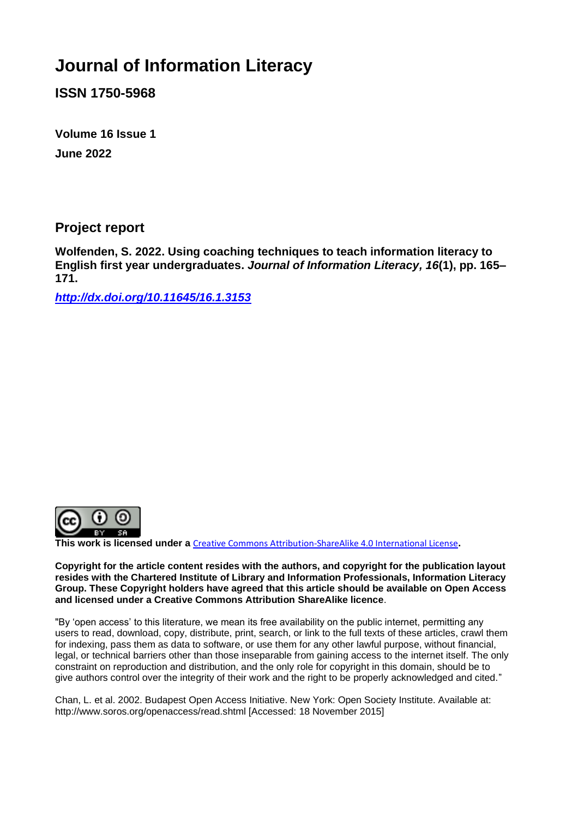# **Journal of Information Literacy**

**ISSN 1750-5968**

**Volume 16 Issue 1 June 2022**

**Project report**

**Wolfenden, S. 2022. Using coaching techniques to teach information literacy to English first year undergraduates.** *Journal of Information Literacy, 16***(1), pp. 165– 171.**

*<http://dx.doi.org/10.11645/16.1.3153>*



**This work is licensed under a** [Creative Commons Attribution-ShareAlike 4.0 International License](http://creativecommons.org/licenses/by-sa/4.0/)**.**

**Copyright for the article content resides with the authors, and copyright for the publication layout resides with the Chartered Institute of Library and Information Professionals, Information Literacy Group. These Copyright holders have agreed that this article should be available on Open Access and licensed under a Creative Commons Attribution ShareAlike licence**.

"By 'open access' to this literature, we mean its free availability on the public internet, permitting any users to read, download, copy, distribute, print, search, or link to the full texts of these articles, crawl them for indexing, pass them as data to software, or use them for any other lawful purpose, without financial, legal, or technical barriers other than those inseparable from gaining access to the internet itself. The only constraint on reproduction and distribution, and the only role for copyright in this domain, should be to give authors control over the integrity of their work and the right to be properly acknowledged and cited."

Chan, L. et al. 2002. Budapest Open Access Initiative. New York: Open Society Institute. Available at: http://www.soros.org/openaccess/read.shtml [Accessed: 18 November 2015]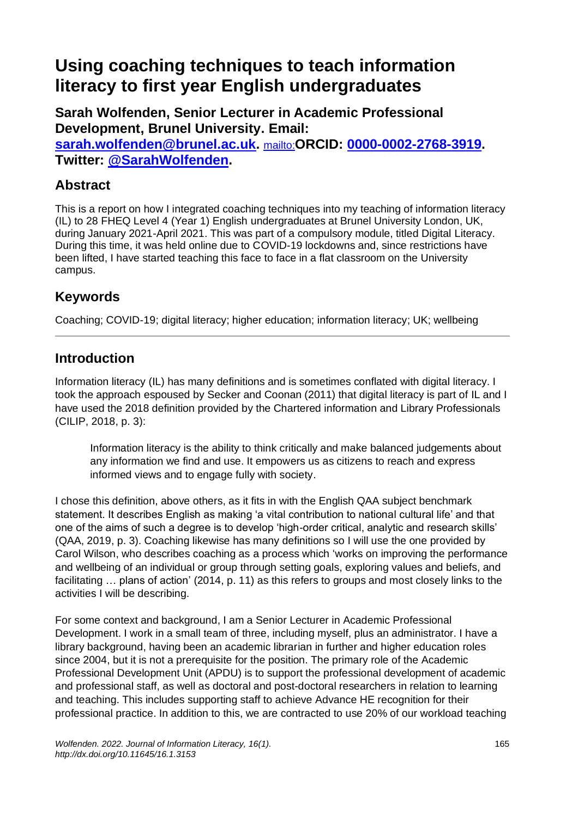## **Using coaching techniques to teach information literacy to first year English undergraduates**

**Sarah Wolfenden, Senior Lecturer in Academic Professional Development, Brunel University. Email: [sarah.wolfenden@brunel.ac.uk.](mailto:sarah.wolfenden@brunel.ac.uk)** <mailto:>**ORCID: [0000-0002-2768-3919.](https://orcid.org/0000-0002-2768-3919) Twitter: [@SarahWolfenden.](https://twitter.com/sarahwolfenden?lang=en-GB)**

#### **Abstract**

This is a report on how I integrated coaching techniques into my teaching of information literacy (IL) to 28 FHEQ Level 4 (Year 1) English undergraduates at Brunel University London, UK, during January 2021-April 2021. This was part of a compulsory module, titled Digital Literacy. During this time, it was held online due to COVID-19 lockdowns and, since restrictions have been lifted, I have started teaching this face to face in a flat classroom on the University campus.

#### **Keywords**

Coaching; COVID-19; digital literacy; higher education; information literacy; UK; wellbeing

#### **Introduction**

Information literacy (IL) has many definitions and is sometimes conflated with digital literacy. I took the approach espoused by Secker and Coonan (2011) that digital literacy is part of IL and I have used the 2018 definition provided by the Chartered information and Library Professionals (CILIP, 2018, p. 3):

Information literacy is the ability to think critically and make balanced judgements about any information we find and use. It empowers us as citizens to reach and express informed views and to engage fully with society.

I chose this definition, above others, as it fits in with the English QAA subject benchmark statement. It describes English as making 'a vital contribution to national cultural life' and that one of the aims of such a degree is to develop 'high-order critical, analytic and research skills' (QAA, 2019, p. 3). Coaching likewise has many definitions so I will use the one provided by Carol Wilson, who describes coaching as a process which 'works on improving the performance and wellbeing of an individual or group through setting goals, exploring values and beliefs, and facilitating … plans of action' (2014, p. 11) as this refers to groups and most closely links to the activities I will be describing.

For some context and background, I am a Senior Lecturer in Academic Professional Development. I work in a small team of three, including myself, plus an administrator. I have a library background, having been an academic librarian in further and higher education roles since 2004, but it is not a prerequisite for the position. The primary role of the Academic Professional Development Unit (APDU) is to support the professional development of academic and professional staff, as well as doctoral and post-doctoral researchers in relation to learning and teaching. This includes supporting staff to achieve Advance HE recognition for their professional practice. In addition to this, we are contracted to use 20% of our workload teaching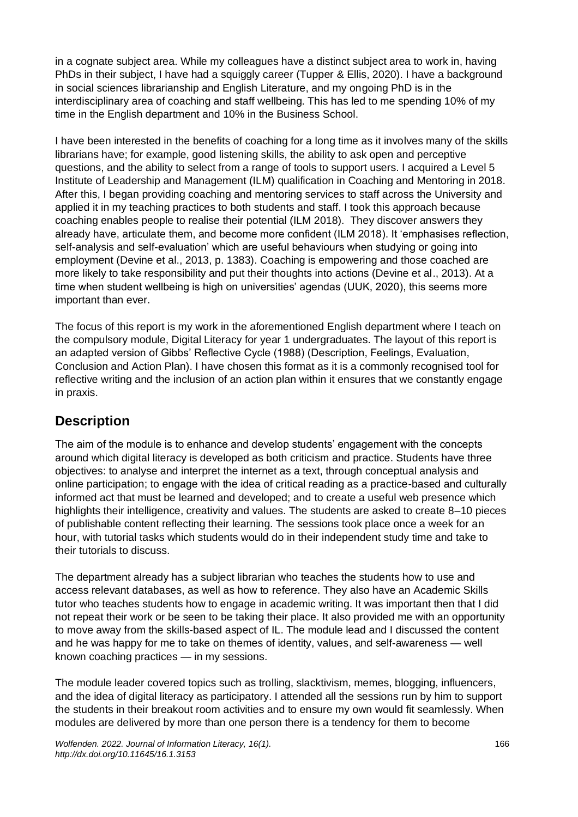in a cognate subject area. While my colleagues have a distinct subject area to work in, having PhDs in their subject, I have had a squiggly career (Tupper & Ellis, 2020). I have a background in social sciences librarianship and English Literature, and my ongoing PhD is in the interdisciplinary area of coaching and staff wellbeing. This has led to me spending 10% of my time in the English department and 10% in the Business School.

I have been interested in the benefits of coaching for a long time as it involves many of the skills librarians have; for example, good listening skills, the ability to ask open and perceptive questions, and the ability to select from a range of tools to support users. I acquired a Level 5 Institute of Leadership and Management (ILM) qualification in Coaching and Mentoring in 2018. After this, I began providing coaching and mentoring services to staff across the University and applied it in my teaching practices to both students and staff. I took this approach because coaching enables people to realise their potential (ILM 2018). They discover answers they already have, articulate them, and become more confident (ILM 2018). It 'emphasises reflection, self-analysis and self-evaluation' which are useful behaviours when studying or going into employment (Devine et al., 2013, p. 1383). Coaching is empowering and those coached are more likely to take responsibility and put their thoughts into actions (Devine et al., 2013). At a time when student wellbeing is high on universities' agendas (UUK, 2020), this seems more important than ever.

The focus of this report is my work in the aforementioned English department where I teach on the compulsory module, Digital Literacy for year 1 undergraduates. The layout of this report is an adapted version of Gibbs' Reflective Cycle (1988) (Description, Feelings, Evaluation, Conclusion and Action Plan). I have chosen this format as it is a commonly recognised tool for reflective writing and the inclusion of an action plan within it ensures that we constantly engage in praxis.

#### **Description**

The aim of the module is to enhance and develop students' engagement with the concepts around which digital literacy is developed as both criticism and practice. Students have three objectives: to analyse and interpret the internet as a text, through conceptual analysis and online participation; to engage with the idea of critical reading as a practice-based and culturally informed act that must be learned and developed; and to create a useful web presence which highlights their intelligence, creativity and values. The students are asked to create 8–10 pieces of publishable content reflecting their learning. The sessions took place once a week for an hour, with tutorial tasks which students would do in their independent study time and take to their tutorials to discuss.

The department already has a subject librarian who teaches the students how to use and access relevant databases, as well as how to reference. They also have an Academic Skills tutor who teaches students how to engage in academic writing. It was important then that I did not repeat their work or be seen to be taking their place. It also provided me with an opportunity to move away from the skills-based aspect of IL. The module lead and I discussed the content and he was happy for me to take on themes of identity, values, and self-awareness — well known coaching practices — in my sessions.

The module leader covered topics such as trolling, slacktivism, memes, blogging, influencers, and the idea of digital literacy as participatory. I attended all the sessions run by him to support the students in their breakout room activities and to ensure my own would fit seamlessly. When modules are delivered by more than one person there is a tendency for them to become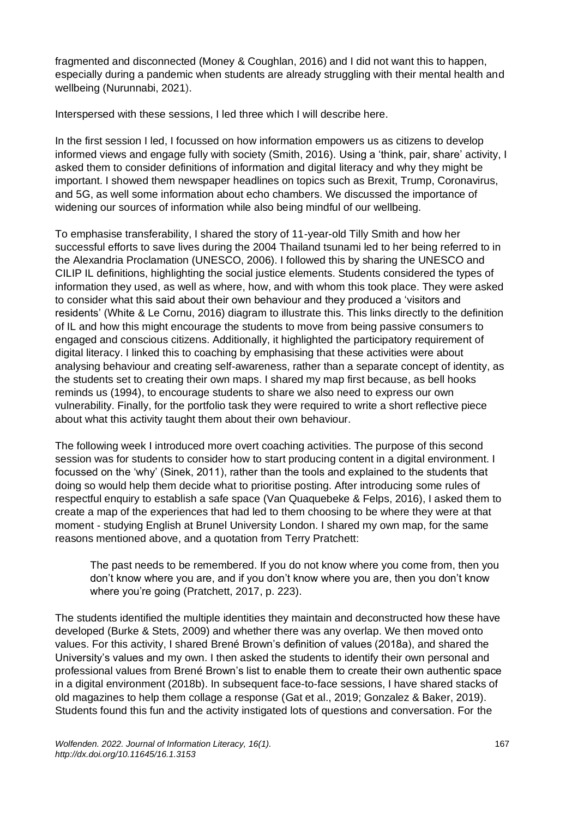fragmented and disconnected (Money & Coughlan, 2016) and I did not want this to happen, especially during a pandemic when students are already struggling with their mental health and wellbeing (Nurunnabi, 2021).

Interspersed with these sessions, I led three which I will describe here.

In the first session I led, I focussed on how information empowers us as citizens to develop informed views and engage fully with society (Smith, 2016). Using a 'think, pair, share' activity, I asked them to consider definitions of information and digital literacy and why they might be important. I showed them newspaper headlines on topics such as Brexit, Trump, Coronavirus, and 5G, as well some information about echo chambers. We discussed the importance of widening our sources of information while also being mindful of our wellbeing.

To emphasise transferability, I shared the story of 11-year-old Tilly Smith and how her successful efforts to save lives during the 2004 Thailand tsunami led to her being referred to in the Alexandria Proclamation (UNESCO, 2006). I followed this by sharing the UNESCO and CILIP IL definitions, highlighting the social justice elements. Students considered the types of information they used, as well as where, how, and with whom this took place. They were asked to consider what this said about their own behaviour and they produced a 'visitors and residents' (White & Le Cornu, 2016) diagram to illustrate this. This links directly to the definition of IL and how this might encourage the students to move from being passive consumers to engaged and conscious citizens. Additionally, it highlighted the participatory requirement of digital literacy. I linked this to coaching by emphasising that these activities were about analysing behaviour and creating self-awareness, rather than a separate concept of identity, as the students set to creating their own maps. I shared my map first because, as bell hooks reminds us (1994), to encourage students to share we also need to express our own vulnerability. Finally, for the portfolio task they were required to write a short reflective piece about what this activity taught them about their own behaviour.

The following week I introduced more overt coaching activities. The purpose of this second session was for students to consider how to start producing content in a digital environment. I focussed on the 'why' (Sinek, 2011), rather than the tools and explained to the students that doing so would help them decide what to prioritise posting. After introducing some rules of respectful enquiry to establish a safe space (Van Quaquebeke & Felps, 2016), I asked them to create a map of the experiences that had led to them choosing to be where they were at that moment - studying English at Brunel University London. I shared my own map, for the same reasons mentioned above, and a quotation from Terry Pratchett:

The past needs to be remembered. If you do not know where you come from, then you don't know where you are, and if you don't know where you are, then you don't know where you're going (Pratchett, 2017, p. 223).

The students identified the multiple identities they maintain and deconstructed how these have developed (Burke & Stets, 2009) and whether there was any overlap. We then moved onto values. For this activity, I shared Brené Brown's definition of values (2018a), and shared the University's values and my own. I then asked the students to identify their own personal and professional values from Brené Brown's list to enable them to create their own authentic space in a digital environment (2018b). In subsequent face-to-face sessions, I have shared stacks of old magazines to help them collage a response (Gat et al., 2019; Gonzalez & Baker, 2019). Students found this fun and the activity instigated lots of questions and conversation. For the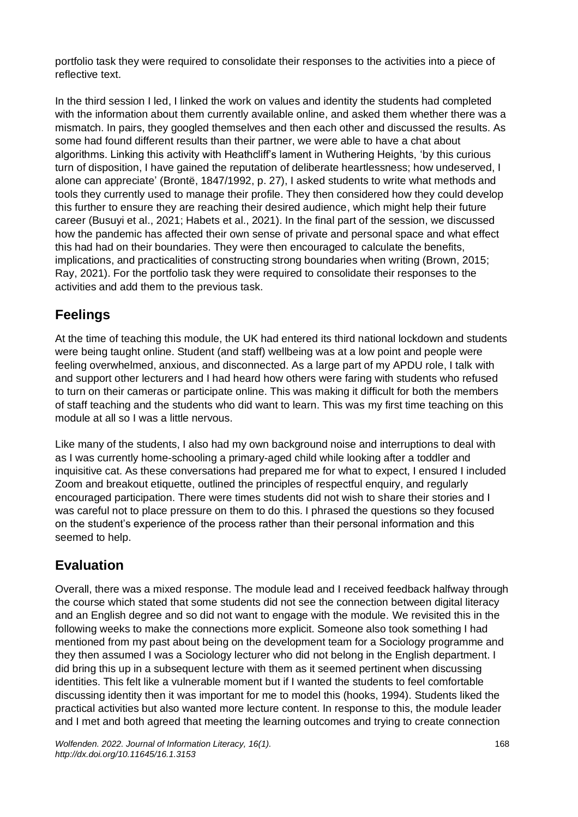portfolio task they were required to consolidate their responses to the activities into a piece of reflective text.

In the third session I led, I linked the work on values and identity the students had completed with the information about them currently available online, and asked them whether there was a mismatch. In pairs, they googled themselves and then each other and discussed the results. As some had found different results than their partner, we were able to have a chat about algorithms. Linking this activity with Heathcliff's lament in Wuthering Heights, 'by this curious turn of disposition, I have gained the reputation of deliberate heartlessness; how undeserved, I alone can appreciate' (Brontë, 1847/1992, p. 27), I asked students to write what methods and tools they currently used to manage their profile. They then considered how they could develop this further to ensure they are reaching their desired audience, which might help their future career (Busuyi et al., 2021; Habets et al., 2021). In the final part of the session, we discussed how the pandemic has affected their own sense of private and personal space and what effect this had had on their boundaries. They were then encouraged to calculate the benefits, implications, and practicalities of constructing strong boundaries when writing (Brown, 2015; Ray, 2021). For the portfolio task they were required to consolidate their responses to the activities and add them to the previous task.

#### **Feelings**

At the time of teaching this module, the UK had entered its third national lockdown and students were being taught online. Student (and staff) wellbeing was at a low point and people were feeling overwhelmed, anxious, and disconnected. As a large part of my APDU role, I talk with and support other lecturers and I had heard how others were faring with students who refused to turn on their cameras or participate online. This was making it difficult for both the members of staff teaching and the students who did want to learn. This was my first time teaching on this module at all so I was a little nervous.

Like many of the students, I also had my own background noise and interruptions to deal with as I was currently home-schooling a primary-aged child while looking after a toddler and inquisitive cat. As these conversations had prepared me for what to expect, I ensured I included Zoom and breakout etiquette, outlined the principles of respectful enquiry, and regularly encouraged participation. There were times students did not wish to share their stories and I was careful not to place pressure on them to do this. I phrased the questions so they focused on the student's experience of the process rather than their personal information and this seemed to help.

#### **Evaluation**

Overall, there was a mixed response. The module lead and I received feedback halfway through the course which stated that some students did not see the connection between digital literacy and an English degree and so did not want to engage with the module. We revisited this in the following weeks to make the connections more explicit. Someone also took something I had mentioned from my past about being on the development team for a Sociology programme and they then assumed I was a Sociology lecturer who did not belong in the English department. I did bring this up in a subsequent lecture with them as it seemed pertinent when discussing identities. This felt like a vulnerable moment but if I wanted the students to feel comfortable discussing identity then it was important for me to model this (hooks, 1994). Students liked the practical activities but also wanted more lecture content. In response to this, the module leader and I met and both agreed that meeting the learning outcomes and trying to create connection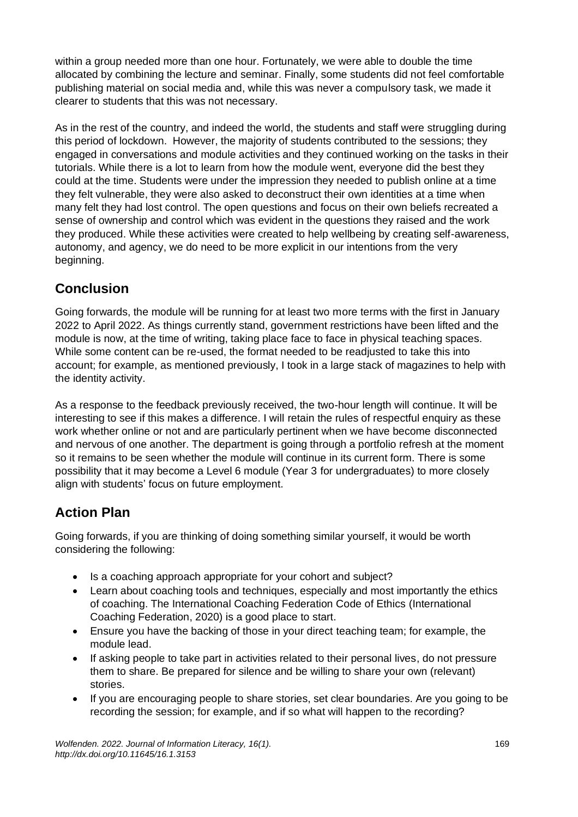within a group needed more than one hour. Fortunately, we were able to double the time allocated by combining the lecture and seminar. Finally, some students did not feel comfortable publishing material on social media and, while this was never a compulsory task, we made it clearer to students that this was not necessary.

As in the rest of the country, and indeed the world, the students and staff were struggling during this period of lockdown. However, the majority of students contributed to the sessions; they engaged in conversations and module activities and they continued working on the tasks in their tutorials. While there is a lot to learn from how the module went, everyone did the best they could at the time. Students were under the impression they needed to publish online at a time they felt vulnerable, they were also asked to deconstruct their own identities at a time when many felt they had lost control. The open questions and focus on their own beliefs recreated a sense of ownership and control which was evident in the questions they raised and the work they produced. While these activities were created to help wellbeing by creating self-awareness, autonomy, and agency, we do need to be more explicit in our intentions from the very beginning.

## **Conclusion**

Going forwards, the module will be running for at least two more terms with the first in January 2022 to April 2022. As things currently stand, government restrictions have been lifted and the module is now, at the time of writing, taking place face to face in physical teaching spaces. While some content can be re-used, the format needed to be readjusted to take this into account; for example, as mentioned previously, I took in a large stack of magazines to help with the identity activity.

As a response to the feedback previously received, the two-hour length will continue. It will be interesting to see if this makes a difference. I will retain the rules of respectful enquiry as these work whether online or not and are particularly pertinent when we have become disconnected and nervous of one another. The department is going through a portfolio refresh at the moment so it remains to be seen whether the module will continue in its current form. There is some possibility that it may become a Level 6 module (Year 3 for undergraduates) to more closely align with students' focus on future employment.

## **Action Plan**

Going forwards, if you are thinking of doing something similar yourself, it would be worth considering the following:

- Is a coaching approach appropriate for your cohort and subject?
- Learn about coaching tools and techniques, especially and most importantly the ethics of coaching. The International Coaching Federation Code of Ethics (International Coaching Federation, 2020) is a good place to start.
- Ensure you have the backing of those in your direct teaching team; for example, the module lead.
- If asking people to take part in activities related to their personal lives, do not pressure them to share. Be prepared for silence and be willing to share your own (relevant) stories.
- If you are encouraging people to share stories, set clear boundaries. Are you going to be recording the session; for example, and if so what will happen to the recording?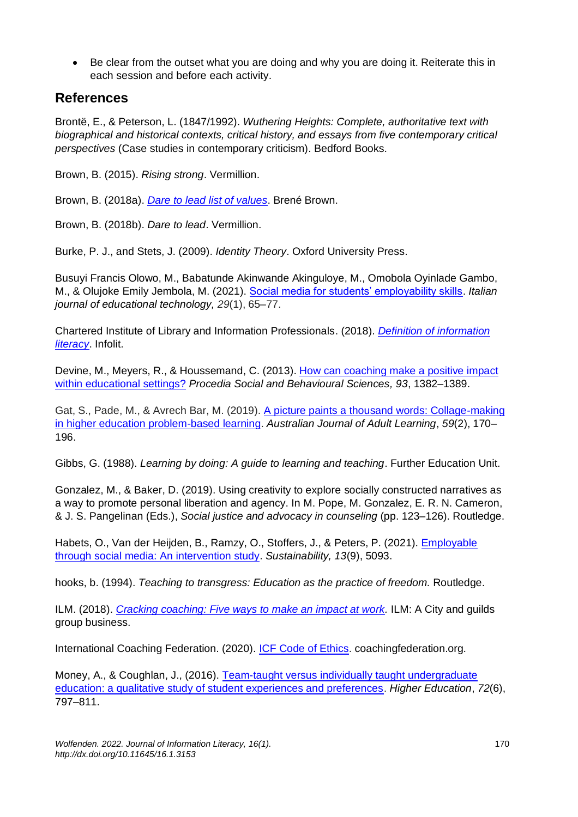• Be clear from the outset what you are doing and why you are doing it. Reiterate this in each session and before each activity.

#### **References**

Brontë, E., & Peterson, L. (1847/1992). *Wuthering Heights: Complete, authoritative text with biographical and historical contexts, critical history, and essays from five contemporary critical perspectives* (Case studies in contemporary criticism). Bedford Books.

Brown, B. (2015). *Rising strong*. Vermillion.

Brown, B. (2018a). *[Dare to lead list of values](https://daretolead.brenebrown.com/wp-content/uploads/2019/02/Values.pdf)*. Brené Brown.

Brown, B. (2018b). *Dare to lead*. Vermillion.

Burke, P. J., and Stets, J. (2009). *Identity Theory*. Oxford University Press.

Busuyi Francis Olowo, M., Babatunde Akinwande Akinguloye, M., Omobola Oyinlade Gambo, M., & Olujoke Emily Jembola, M. (2021). [Social media for students' employability skills.](https://doi.org/10.17471/2499-4324/1185) *Italian journal of educational technology, 29*(1), 65–77.

Chartered Institute of Library and Information Professionals. (2018). *[Definition of information](https://infolit.org.uk/ILdefinitionCILIP2018.pdf)  [literacy](https://infolit.org.uk/ILdefinitionCILIP2018.pdf)*. Infolit.

Devine, M., Meyers, R., & Houssemand, C. (2013). [How can coaching make a positive impact](https://doi.org/10.1016/j.sbspro.2013.10.048)  [within educational settings?](https://doi.org/10.1016/j.sbspro.2013.10.048) *Procedia Social and Behavioural Sciences, 93*, 1382–1389.

Gat, S., Pade, M., & Avrech Bar, M. (2019). [A picture paints a thousand words: Collage-making](https://files.eric.ed.gov/fulltext/EJ1235843.pdf)  [in higher education problem-based learning.](https://files.eric.ed.gov/fulltext/EJ1235843.pdf) *Australian Journal of Adult Learning*, *59*(2), 170– 196.

Gibbs, G. (1988). *Learning by doing: A guide to learning and teaching*. Further Education Unit.

Gonzalez, M., & Baker, D. (2019). Using creativity to explore socially constructed narratives as a way to promote personal liberation and agency. In M. Pope, M. Gonzalez, E. R. N. Cameron, & J. S. Pangelinan (Eds.), *Social justice and advocacy in counseling* (pp. 123–126). Routledge.

Habets, O., Van der Heijden, B., Ramzy, O., Stoffers, J., & Peters, P. (2021). [Employable](https://doi.org/10.3390/su13095093)  [through social media: An intervention study.](https://doi.org/10.3390/su13095093) *Sustainability, 13*(9), 5093.

hooks, b. (1994). *Teaching to transgress: Education as the practice of freedom.* Routledge.

ILM. (2018). *[Cracking coaching: Five ways to make an impact at work.](https://www.i-l-m.com/-/media/ilm-website/downloads/cracking-coaching---whitepaper-pdf.ashx?la=en&hash=0D66803390B70F473D2BE3D1FE45965E1DE0B522)* ILM: A City and guilds group business.

International Coaching Federation. (2020). [ICF Code of Ethics.](https://coachingfederation.org/ethics/code-of-ethics) coachingfederation.org.

Money, A., & Coughlan, J., (2016). [Team-taught versus individually taught undergraduate](http://dx.doi.org/10.1007/s10734-015-9976-5)  [education: a qualitative study of student experiences and preferences.](http://dx.doi.org/10.1007/s10734-015-9976-5) *Higher Education*, *72*(6), 797–811.